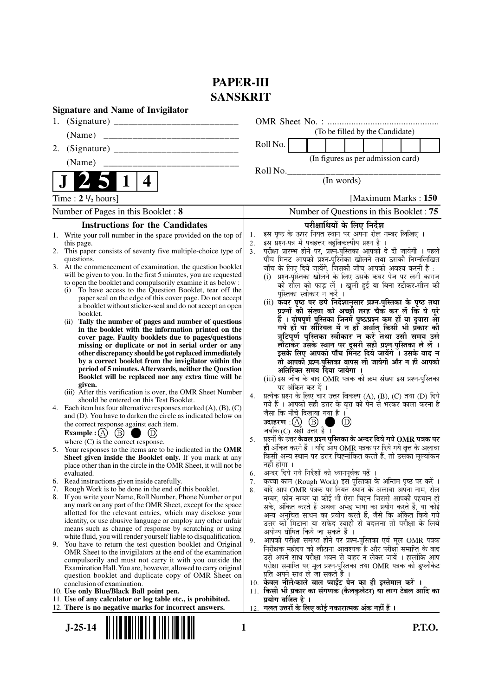# **PAPER-III SANSKRIT**

|                                    | <b>Signature and Name of Invigilator</b>                                                                                          |          |                                                                                                                                 |  |  |  |
|------------------------------------|-----------------------------------------------------------------------------------------------------------------------------------|----------|---------------------------------------------------------------------------------------------------------------------------------|--|--|--|
|                                    |                                                                                                                                   |          |                                                                                                                                 |  |  |  |
|                                    | (Name)                                                                                                                            |          | (To be filled by the Candidate)                                                                                                 |  |  |  |
| 2.                                 |                                                                                                                                   |          | Roll No.                                                                                                                        |  |  |  |
|                                    | (Name)                                                                                                                            |          | (In figures as per admission card)                                                                                              |  |  |  |
|                                    |                                                                                                                                   |          | Roll No.<br>(In words)                                                                                                          |  |  |  |
|                                    | 4                                                                                                                                 |          |                                                                                                                                 |  |  |  |
|                                    | Time: $2 \frac{1}{2}$ hours]                                                                                                      |          | [Maximum Marks: 150]                                                                                                            |  |  |  |
| Number of Pages in this Booklet: 8 |                                                                                                                                   |          | Number of Questions in this Booklet: 75                                                                                         |  |  |  |
|                                    | <b>Instructions for the Candidates</b>                                                                                            |          | परीक्षार्थियों के लिए निर्देश                                                                                                   |  |  |  |
|                                    | 1. Write your roll number in the space provided on the top of                                                                     | 1.       | इस पृष्ठ के ऊपर नियत स्थान पर अपना रोल नम्बर लिखिए ।                                                                            |  |  |  |
|                                    | this page.<br>2. This paper consists of seventy five multiple-choice type of                                                      | 2.<br>3. | इस प्रश्न-पत्र में पचहत्तर बहुविकल्पीय प्रश्न हैं<br>परीक्षा प्रारम्भ होने पर, प्रश्न-पुस्तिका आपको दे दी जायेगी । पहले         |  |  |  |
|                                    | questions.                                                                                                                        |          | पाँच मिनट आपको प्रश्न-पुस्तिका खोलने तथा उसकी निम्नलिखित                                                                        |  |  |  |
|                                    | 3. At the commencement of examination, the question booklet                                                                       |          | जाँच के लिए दिये जायेंगे, जिसकी जाँच आपको अवश्य करनी है :                                                                       |  |  |  |
|                                    | will be given to you. In the first 5 minutes, you are requested<br>to open the booklet and compulsorily examine it as below :     |          | (i) प्रश्न-पुस्तिका खोलने के लिए उसके कवर पेज पर लगी कागज                                                                       |  |  |  |
|                                    | (i) To have access to the Question Booklet, tear off the                                                                          |          | की सील को फाड़ लें । खुली हुई या बिना स्टीकर-सील की<br>पुस्तिका स्वीकार न करें ।                                                |  |  |  |
|                                    | paper seal on the edge of this cover page. Do not accept                                                                          |          |                                                                                                                                 |  |  |  |
|                                    | a booklet without sticker-seal and do not accept an open<br>booklet.                                                              |          | (ii) कॅवर पृष्ठ पर छपे निर्देशानुसार प्रश्न-पुस्तिका के पृष्ठ तथा<br>प्रश्नों की संख्या को अच्छी तरह चैक कर लें कि ये पूरे      |  |  |  |
|                                    | Tally the number of pages and number of questions<br>(ii)                                                                         |          | हैं । दोषपूर्ण पुस्तिका जिनमें पृष्ठ/प्रश्न कम हों या दुबारा आ<br>गये हों या सीरियल में न हो अर्थात् किसी भी प्रकार की          |  |  |  |
|                                    | in the booklet with the information printed on the                                                                                |          | त्रुटिपूर्ण पुस्तिका स्वीकार न करें तथा उसी समय उसे                                                                             |  |  |  |
|                                    | cover page. Faulty booklets due to pages/questions<br>missing or duplicate or not in serial order or any                          |          | लौटाकर उसके स्थान पर दूसरी सही प्रश्न-पुस्तिका ले लें ।                                                                         |  |  |  |
|                                    | other discrepancy should be got replaced immediately                                                                              |          | इसके लिए आपको पाँच मिनट दिये जायेंगे । उसके बाद न                                                                               |  |  |  |
|                                    | by a correct booklet from the invigilator within the                                                                              |          | तो आपकी प्रश्न-पुस्तिका वापस ली जायेगी और न ही आपको                                                                             |  |  |  |
|                                    | period of 5 minutes. Afterwards, neither the Question<br>Booklet will be replaced nor any extra time will be                      |          | अतिरिक्त समय दिया जायेगा ।                                                                                                      |  |  |  |
|                                    | given.                                                                                                                            |          | (iii) इस जाँच के बाद OMR पत्रक की क्रम संख्या इस प्रश्न-पुस्तिका<br>पर अंकित कर दें ।                                           |  |  |  |
|                                    | (iii) After this verification is over, the OMR Sheet Number                                                                       | 4.       | प्रत्येक प्रश्न के लिए चार उत्तर विकल्प (A), (B), (C) तथा (D) दिये                                                              |  |  |  |
|                                    | should be entered on this Test Booklet.<br>4. Each item has four alternative responses marked $(A)$ , $(B)$ , $(C)$               |          | गये हैं । आपको सही उत्तर के वृत्त को पेन से भरकर काला करना है                                                                   |  |  |  |
|                                    | and (D). You have to darken the circle as indicated below on                                                                      |          | जैसा कि नीचे दिखाया गया है ।                                                                                                    |  |  |  |
|                                    | the correct response against each item.                                                                                           |          | (D)<br>जबकि (C) सही उत्तर है ।                                                                                                  |  |  |  |
|                                    | $\left(\mathbf{B}\right)$<br><b>Example</b> : $(A)$                                                                               | 5.       | प्रश्नों के उत्तर <b>केवल प्रश्न पुस्तिका के अन्दर दिये गये OMR पत्रक पर</b>                                                    |  |  |  |
| 5.                                 | where $(C)$ is the correct response.<br>Your responses to the items are to be indicated in the OMR                                |          | ही अंकित करने हैं । यदि आप OMR पत्रक पर दिये गये वृत्त के अलावा                                                                 |  |  |  |
|                                    | Sheet given inside the Booklet only. If you mark at any                                                                           |          | किसी अन्य स्थान पर उत्तर चिह्नांकित करते हैं, तो उसका मृल्यांकन                                                                 |  |  |  |
|                                    | place other than in the circle in the OMR Sheet, it will not be                                                                   |          | नहीं होगा ।                                                                                                                     |  |  |  |
|                                    | evaluated.<br>6. Read instructions given inside carefully.                                                                        | 6.<br>7. | अन्दर दिये गये निर्देशों को ध्यानपूर्वक पढ़ें ।<br>कच्चा काम (Rough Work) इस पुस्तिका के अन्तिम पृष्ठ पर करें ।                 |  |  |  |
|                                    | 7. Rough Work is to be done in the end of this booklet.                                                                           | 8.       | यदि आप OMR पत्रक पर नियत स्थान के अलावा अपना नाम, रोल                                                                           |  |  |  |
|                                    | 8. If you write your Name, Roll Number, Phone Number or put                                                                       |          | नम्बर, फोन नम्बर या कोई भी ऐसा चिह्न जिससे आपकी पहचान हो                                                                        |  |  |  |
|                                    | any mark on any part of the OMR Sheet, except for the space<br>allotted for the relevant entries, which may disclose your         |          | सके, अंकित करते हैं अथवा अभद्र भाषा का प्रयोग करते हैं, या कोई                                                                  |  |  |  |
|                                    | identity, or use abusive language or employ any other unfair                                                                      |          | अन्य अनुचित साधन का प्रयोग करते हैं, जैसे कि अंकित किये गये<br>उत्तर को मिटाना या सफेद स्याही से बदलना तो परीक्षा के लिये       |  |  |  |
|                                    | means such as change of response by scratching or using                                                                           |          | अयोग्य घोषित किये जा सकते हैं ।                                                                                                 |  |  |  |
|                                    | white fluid, you will render yourself liable to disqualification.<br>9. You have to return the test question booklet and Original | 9.       | आपको परीक्षा समाप्त होने पर प्रश्न-पुस्तिका एवं मूल OMR पत्रक                                                                   |  |  |  |
|                                    | OMR Sheet to the invigilators at the end of the examination                                                                       |          | निरीक्षक महोदय को लौटाना आवश्यक है और परीक्षा समाप्ति के बाद                                                                    |  |  |  |
|                                    | compulsorily and must not carry it with you outside the                                                                           |          | उसे अपने साथ परीक्षा भवन से बाहर न लेकर जायें । हालांकि आप<br>परीक्षा समाप्ति पर मूल प्रश्न-पुस्तिका तथा OMR पत्रक की डुप्लीकेट |  |  |  |
|                                    | Examination Hall. You are, however, allowed to carry original<br>question booklet and duplicate copy of OMR Sheet on              |          | प्रति अपने साथ ले जा सकते हैं ।                                                                                                 |  |  |  |
|                                    | conclusion of examination.                                                                                                        |          | 10. केवल नीले/काले बाल प्वाईंट पेन का ही इस्तेमाल करें ।                                                                        |  |  |  |
|                                    | 10. Use only Blue/Black Ball point pen.                                                                                           | 11.      | किसी भी प्रकार का संगणक (कैलकुलेटर) या लाग टेबल आदि का                                                                          |  |  |  |
|                                    | 11. Use of any calculator or log table etc., is prohibited.<br>12. There is no negative marks for incorrect answers.              |          | प्रयोग वर्जित है ।<br>12. गलत उत्तरों के लिए कोई नकारात्मक अंक नहीं हैं ।                                                       |  |  |  |
|                                    |                                                                                                                                   |          |                                                                                                                                 |  |  |  |
|                                    | $J-25-14$<br><b>P.T.O.</b><br>1                                                                                                   |          |                                                                                                                                 |  |  |  |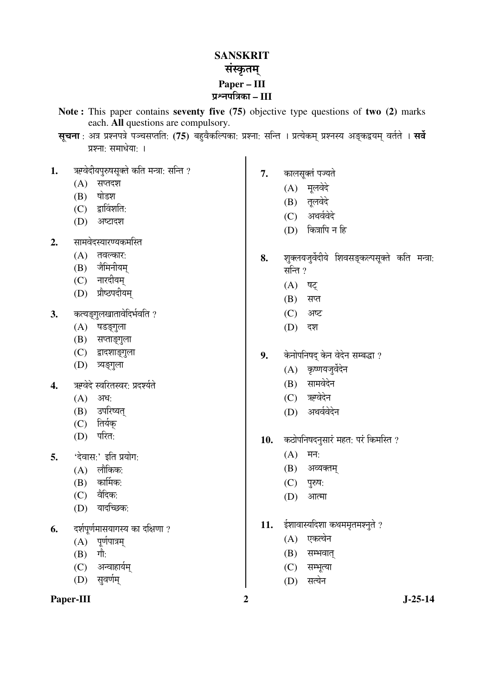## **SANSKRIT** संस्कृतम् **Paper – III**  ¯ÖÏÀ®Ö¯ÖסÖÛúÖ **– III**

- **Note :** This paper contains **seventy five (75)** objective type questions of **two (2)** marks each. **All** questions are compulsory.
- स्**चना**: अत्र प्रश्नपत्रे पञ्चसप्तति: (75) बहवैकल्पिका: प्रश्ना: सन्ति । प्रत्येकम् प्रश्नस्य अङ्कद्वयम् वर्तते । सर्वे प्रश्नाः समाधेयाः ।
- 1. Twada Euthong The Team in the ?
	- $(A)$  सप्तदश
	- $(B)$  षोडश
	- $(C)$  द्वाविंशति:
	- $(D)$  अष्टादश
- 2. सामवेदस्यारण्यकमस्ति
	- $(A)$  तवल्कार:
	- (B) जैमिनीयम्
	- (C) नारदीयम
	- (D) प्रौष्ठपदीयम्
- **3.** कत्यङगलखातावेदिर्भवति ?
	- (A) षडङ्गुला
	- (B) सप्ताङ्गुला
	- (C) द्वादशाङ्गुला
	- (D) त्र्यङ्गुला
- 4. ऋग्वेदे स्वरितस्वर: प्रदर्श्यते
	- $(A)$  अध:
	- (B) उपरिष्यत्
	- $(C)$  तिर्यक
	- $(D)$  परित:
- 5. 'देवास<sup>.</sup>' इति प्रयोग:
	- $(A)$  लौकिक:
	- $(B)$  कार्मिक:
	- $(C)$  वैदिक:
	- $(D)$  यादच्छिक:
- 6. दर्शपूर्णमासयागस्य का दक्षिणा ?
	- $(A)$  पूर्णपात्रम्
	- $(B)$  गौ:
	- (C) अन्वाहार्यम
	- (D) सुवर्णम्

#### Paper-III 2 J-25-14

- **7.** कालसूक्तं पज्यते
	- (A) मूलवेदे
	- (B) तलवेदे
	- (C) अथर्ववेदे
	- $(D)$  कित्रापि न हि
- 8. शक्लयजुर्वेदीये शिवसङकल्पसुक्ते कति मन्त्रा: सन्ति  $?$ 
	- $(A)$  षट
	- $(B)$  सप्त
	- $(C)$  अष्ट
	- (D) दश
- 9. केनोपनिषद् केन वेदेन सम्बद्धा ?
	- (A) कृष्णयजुर्वेदेन
	- (B) सामवेदेन
	- (C) ऋग्वेदेन
	- (D) अथर्ववेदेन
- 10. कठोपनिषदनुसारं महत: परं किमस्ति ?
	- $(A)$  मन:
	- (B) अव्यक्तम
	- (C) पुरुष:
	- $(D)$  आत्मा
- 11. ईशावास्यदिशा कथममृतमश्नुते ?
	- (A) एकत्वेन
	- $(B)$  सम्भवात्
	- (C) सम्भूत्या
	- $(D)$  सत्येन
-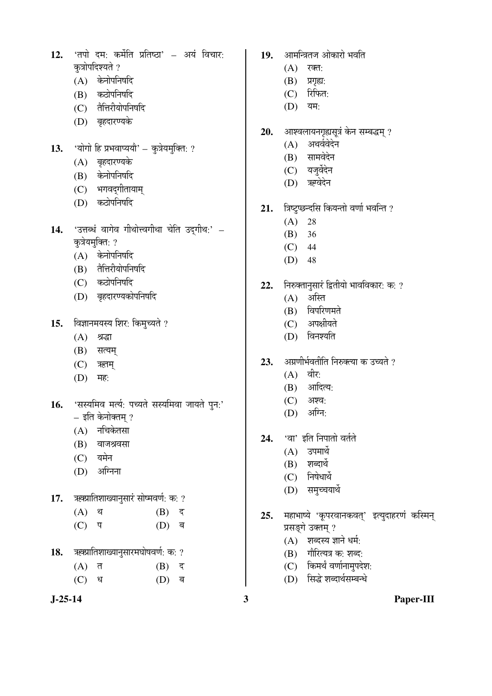- 12. 'तपो दम: कर्मेति प्रतिष्ठा' अयं विचार: कत्रोपदिश्यते ?
	- $(A)$  केनोपनिषदि
	- (B) कठोपनिषदि
	- (C) तैत्तिरीयोपनिषदि
	- (D) बृहदारण्यके
- 13. 'योगो हि प्रभवाप्ययौ' कुत्रेयमुक्ति: ?
	- (A) बृहदारण्यके
	- (B) केनोपनिषदि
	- (C) भगवद्गीतायाम्
	- (D) कठोपनिषदि
- 14. 'उत्तब्धं वागेव गीथोत्त्वगीथा चेति उद्गीथ:' कुत्रेयमुक्ति: ?
	- $(A)$  केनोपनिषदि
	- (B) तैत्तिरीयोपनिषदि
	- (C) कठोपनिषदि
	- (D) बृहदारण्यकोपनिषदि
- 15. विज्ञानमयस्य शिर: किमुच्यते ?
	- $(A)$  श्रद्धा
	- $(B)$  सत्यम्
	- $(C)$  ऋतम्
	- $(D)$  मह:
- 16. 'सस्यमिव मर्त्य: पच्यते सस्यमिवा जायते पुन:' – इति केनोक्तम् ?
	- $(A)$  नचिकेतसा
	- $(B)$  वाजश्रवसा
	- $(C)$  यमेन
	- $(D)$  अग्निना
- 17. ऋक्प्रातिशाख्यानुसारं सोष्मवर्ण: क: ?
	- $(A)$  थ  $(B)$  द
	- $(C)$  प  $(D)$  ब
- 18. ऋक्प्रातिशाख्यानुसारमघोषवर्ण: क: ?
	- $(A)$  त  $(B)$  द
	- $(C)$  ध  $(D)$  ब
- 19. आमन्त्रितज ओकारो भवति
	- $(A)$  रक्त:
	- $(B)$  प्रगृह्य:
	- $(C)$  रिफित:
	- (D) यम:
- 20. आश्वलायनगृह्यसूत्रं केन सम्बद्धम् ?
	- (A) अथर्ववेदेन
	- (B) सामवेदेन
	- (C) यजुर्वेदेन
	- (D) ऋग्वेदेन
- 21. त्रिष्टुप्छन्दसि कियन्तो वर्णा भवन्ति ?
	- $(A) 28$
	- (B) 36
	- (C) 44
	- (D) 48
- 22. Flowan Hali Bahah भावविकार: क: ?
	- $(A)$  अस्ति
	- (B) विपरिणमते
	- (C) अपक्षीयते
	- $(D)$  विनश्यति
- 23. YAJUNA FEREN ART ET 35 23 APR
	- $(A)$  वीर:
		- $(B)$  आदित्य:
		- $(C)$  अश्व:
		- $(D)$  अग्नि:
- 24. 'वा' इति निपातो वर्तते
	- $(A)$  उपमार्थे
	- $(B)$  शब्दार्थ
	- $(C)$  निषेधार्थे
	- (D) समुच्चयार्थे
- 25. महाभाष्ये 'कूपरवानकवत्' इत्युदाहरणं कस्मिन् प्रसङ्गे उक्तम् ?
	- $(A)$  शब्दस्य ज्ञाने धर्म:
	- $(B)$  गौरित्यत्र क: शब्द:
	- $(C)$  किमर्थं वर्णानामुपदेश:
	- (D) सिद्धे शब्दार्थसम्बन्धे
		-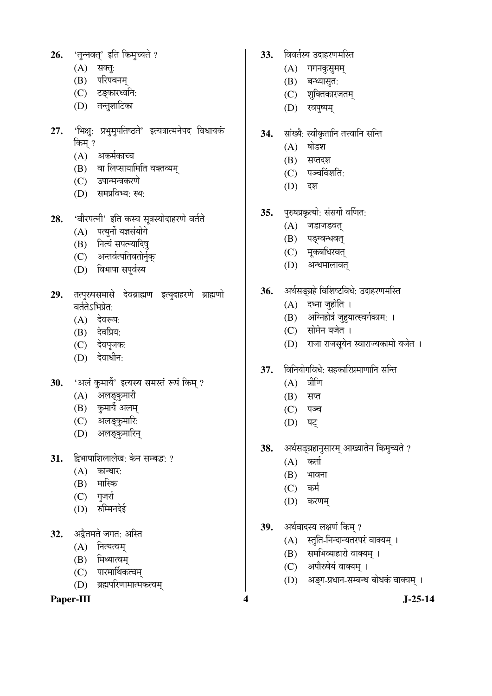- 26. 'तुन्नवत्' इति किमुच्यते ?
	- $(A)$  सक्तुः
	- (B) परिपवनम्
	- (C) टङ्कारध्वनि:
	- (D) तन्तूशाटिका
- 27. 'भिक्षु: प्रभुमुपतिष्ठते' इत्यत्रात्मनेपद विधायकं किम् ?
	- $(A)$  अकर्मकाच्च
	- (B) वा लिप्सायामिति वक्तव्यम्
	- (C) उपान्मन्त्रकरणे
	- (D) समप्रविभ्य: स्थ:
- **28.** 'वीरपत्नी' इति कस्य सूत्रस्योदाहरणे वर्तते
	- $(A)$  पत्युर्नो यज्ञसंयोगे
	- (B) नित्यं सपत्न्यादिष्
	- (C) अन्तर्वत्पतिवतोर्नुक्
	- (D) विभाषा सपूर्वस्य
- 29. तत्पुरुषसमासे देवब्राह्मण इत्युदाहरणे ब्राह्मणो वर्ततेऽभिप्रेत:
	- $(A)$  देवरूप:
	- (B) देवप्रिय:
	- (C) देवपूजक:
	- $(D)$  देवाधीन:
- 30. 'अलं कुमार्यै' इत्यस्य समस्तं रूपं किम् ?
	- (A) अलङ्कुमारी
	- (B) कुमायैं अलम्
	- (C) अलङ्कुमारि:
	- (D) अलङ्कुमारिन्
- **31.** द्विभाषाशिलालेख: केन सम्बद्ध: ?
	- $(A)$  कान्धार:
	- $(B)$  मास्कि
	- $(C)$  गुजर्रा
	- (D) रुम्मिनदेई
- 32. अद्वैतमते जगत: अस्ति
	- $(A)$  नित्यत्वम
	- $(B)$  मिथ्यात्वम्
	- (C) पारमार्थिकत्वम्
	- (D) ब्रह्मपरिणामात्मकत्वम्

Paper-III 3-25-14

- 33. विवर्तस्य उदाहरणमस्ति
	- $(A)$  गगनकुसुमम्
	- (B) बन्ध्यासुत:
	- (C) श्*वि*तकारजतम्
	- (D) रवपृष्पम्
- 34. सांख्यै: स्वीकृतानि तत्त्वानि सन्ति
	- $(A)$  षोडश
	- $(B)$  सप्तदश
	- $(C)$  पञ्चविंशति:
	- (D) दश
- **35.** पुरुषप्रकृत्यो: संसर्गो वर्णित:
	- $(A)$  जडाजडवत्
	- (B) पङ्ग्वन्धवत्
	- (C) मुकबधिरवत्
	- (D) अन्धमालावत्
- 36. अर्थसङ्ग्रहे विशिष्टविधे: उदाहरणमस्ति
	- $(A)$  दध्ना जुहोति ।
	- (B) अग्निहोत्रं जुहुयात्स्वर्गकाम: ।
	- (C) सोमेन यजेत ।
	- (D) राजा राजसूयेन स्वाराज्यकामो यजेत ।
- 37. विनियोगविधे: सहकारिप्रमाणानि सन्ति
	- $(A)$  त्रीणि
	- $(B)$  सप्त
	- $(C)$  पञ्च
	- (D) षट्
- 38. अर्थसङ्ग्रहानुसारम् आख्यातेन किमुच्यते ?
	- $(A)$  कर्ता
	- $(B)$  भावना
	- $(C)$  कर्म
	- $(D)$  करणम्
- 39. अर्थवादस्य लक्षणं किम् ?
	- (A) स्तुति-निन्दान्यतरपरं वाक्यम् ।
	- (B) समभिव्याहारो वाक्यम् ।
	- (C) अपौरुषेयं वाक्यम् ।
	- (D) अङ्ग-प्रधान-सम्बन्ध बोधकं वाक्यम् ।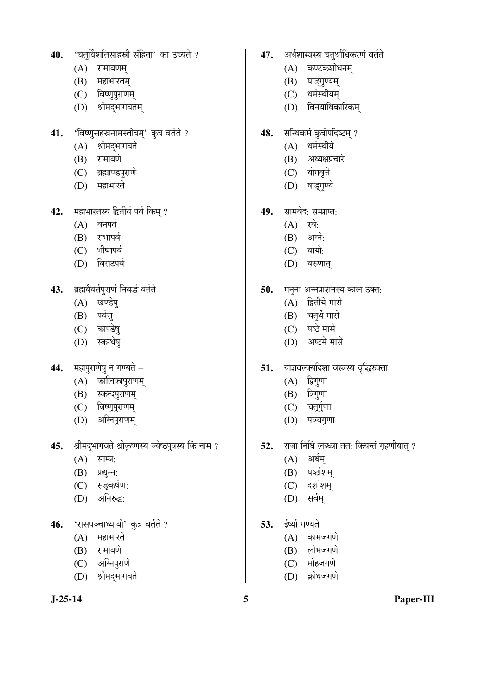- 40. 'चतुर्विंशतिसाहस्री संहिता' का उच्यते ?
	- $(A)$  रामायणम्
	- $(B)$  महाभारतम्
	- (C) विष्णुपुराणम्
	- (D) श्रीमद्भागवतम्
- 41. 'विष्णुसहस्रनामस्तोत्रम्' कुत्र वर्तते ?
	- $(A)$  श्रीमद्भागवते
	- (B) रामायणे
	- (C) ब्रह्माण्डपुराणे
	- (D) महाभारते
- 42. महाभारतस्य द्वितीयं पर्व किम् ?
	- $(A)$  वनपर्व
	- (B) सभापर्व
	- (C) भीष्मपर्व
	- (D) विराटपर्व
- 43. ब्रह्मवैवर्तपुराणं निबद्धं वर्तते
	- $(A)$  खण्डेष्
	- (B) पर्वस्
	- (C) काण्डेषु
	- (D) स्कन्धेष्
- 44. **महापुराणेषु न गण्यते**
	- $(A)$  कालिकापुराणम्
	- (B) स्कन्दपुराणम्
	- (C) विष्णुपुराणम्
	- (D) अग्निपुराणम्
- 45. श्रीमद्भागवते श्रीकृष्णस्य ज्येष्ठपुत्रस्य किं नाम ?
	- $(A)$  साम्ब:
	- $(B)$  प्रद्युम्न:
	- $(C)$  सङ्कर्षण:
	- (D) अनिरुद्ध:
- 46. 'रासपञ्चाध्यायी' कुत्र वर्तते ?
	- $(A)$  महाभारते
	- $(B)$  रामायणे
	- (C) अग्निपुराणे
	- (D) श्रीमदभागवते
- 47. अर्थशास्त्रस्य चतुर्थाधिकरणं वर्तते
	- $(A)$  कण्टकशोधनम्
	- (B) षाड्गुण्यम्
	- (C) धर्मस्थीयम्
	- (D) विनयाधिकारिकम्
- 48. सन्धिकर्म कुत्रोपदिष्टम् ?
	- $(A)$  धर्मस्थीये
	- $(B)$  अध्यक्षप्रचारे
	- (C) योगवृत्ते
	- (D) षाड़गुण्ये
- 49. सामवेद: सम्प्राप्त:
	- $(A)$  रवे:
	- $(B)$  अग्ने:
	- $(C)$  वायो:
	- (D) वरुणात्
- 50. मनुना अन्नप्राशनस्य काल उक्त:
	- $(A)$  द्वितीये मासे
	- (B) चतुर्थे मासे
	- (C) षष्ठे मासे
	- (D) अष्टमे मासे
- 51. याज्ञवल्क्यदिशा वस्त्रस्य वृद्धिरुक्ता
	- $(A)$  द्विगुणा
	- $(B)$  त्रिगुणा
	- $(C)$  चतुर्गुणा
	- (D) पञ्चगुणा
- **52.** राजा निधिं लब्ध्वा तत: कियन्तं गृहणीयात् ?
	- $(A)$  अर्धम्
	- $(B)$  षष्ठांशम्
	- $(C)$  दशांशम्
	- $(D)$  सर्वम्
- 53. ईर्ष्या गण्यते
	- $(A)$  कामजगणे
	- $(B)$  लोभजगणे
	- $(C)$  मोहजगणे
	- (D) क्रोधजगणे

**J-25-14 5 Paper-III**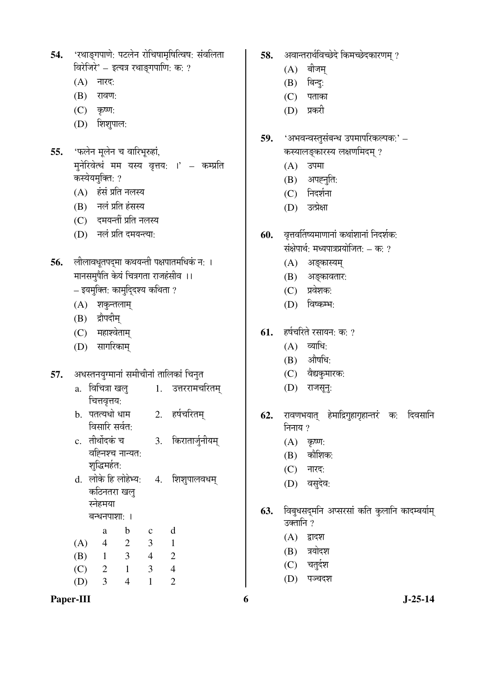| 54. 'रथाङ्गपाणे: पटलेन रोचिषामृषित्विष: संवलिता |  |
|-------------------------------------------------|--|
| विरेजिरे' – इत्यत्र रथाङ्गपाणि: क: ?            |  |

- $(A)$  नारद:
- (B) रावण:
- $(C)$  कृष्ण:
- $(D)$  शिशुपाल:
- 55. 'फलेन मूलेन च वारिभुरुहां. मुनेरिवेत्थं मम यस्य वृत्तय: ।' – कम्प्रति कस्येयमक्ति: ?
	- (A) हंसं प्रति नलस्य
	- (B) नलं प्रति हंसस्य
	- (C) दमयन्तीं प्रति नलस्य
	- (D) नलं प्रति दमयन्त्या:
- **56.** लीलावधूतपदमा कथयन्ती पक्षपातमधिकं न: । <u>मानसमपैति केयं चित्रगता राजहंसीव ।।</u> – इयमुक्ति: कामुदि्दश्य कथिता ?
	- (A) शकुन्तलाम्
	- (B) द्रौपदीम्
	- $(C)$  महाश्वेताम्
	- (D) सागरिकाम्
- 57. अधस्तनयुग्मानां समीचीनां तालिकां चिनुत
	- a. विचित्रा खल् चित्तवृत्तय: 1. उत्तररामचरितम्
	- b. पतत्यधो धाम विसारि सर्वत: 2. हर्षचरितम
	- c. तीर्थोदकं च वह्निश्च नान्यत: शुद्धिमर्हत: 3. किरातार्जुनीयम्
	- d. लोके हि लोहेभ्य: कठिनतरा खलु स्नेहमया  $\overline{q}$ -धनपाशा: । 4. शिशुपालवधम्

 a b c d (A) 4 2 3 1 (B) 1 3 4 2 (C) 2 1 3 4

(D) 3 4 1 2

Paper-III 6 J-25-14

- 58. अवान्तरार्थविच्छेदे किमच्छेदकारणम ?
	- $(A)$  बीजम्
	- $(B)$  बिन्दु:
	- $(C)$  पताका
	- (D) प्रकरी
- 59. 'अभवन्वस्तुसंबन्ध उपमापरिकल्पक:' कस्यालङ्कारस्य लक्षणमिदम् ?
	- $(A)$  उपमा
	- $(B)$  अपहनृति:
	- (C) निदर्शना
	- (D) उत्प्रेक्षा
- 60. वृत्तवर्तिष्यमाणानां कथांशानां निदर्शक: संक्षेपार्थ: मध्यपात्रप्रयोजित: – क: ?
	- (A) अङ्कास्यम्
	- (B) अङ्कावतार:
	- $(C)$  प्रवेशक:
	- $(D)$  विष्कम्भः
- **61.** हर्षचरिते रसायन: क: ?
	- $(A)$  व्याधि:
	- $(B)$  औषधि:
	- (C) वैद्यकुमारक:
	- (D) राजसून्:
- **62.** रावणभयात् हेमाद्रिगुहागृहान्तरं क: दिवसानि निनाय ?
	- $(A)$  कृष्ण:
	- $(B)$  कौशिक:
	- (C) नारद:
	- (D) वसुदेव:
- 63. विबुधसदमनि अप्सरसां कति कुलानि कादम्बर्याम् उक्तानि ?
	- $(A)$  द्वादश
	- $(B)$  त्रयोदश
	- $(C)$  चतुर्दश
	- (D) पञ्चदश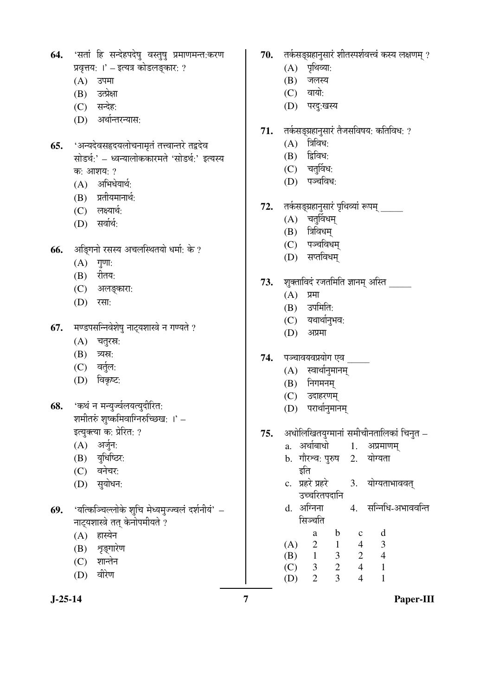## **64.** 'सतां हि सन्देहपदेषु वस्तुषु प्रमाणमन्त:करण प्रवृत्तय: ।' – इत्यत्र कोडलङ्कार: ?

- $(A)$  उपमा
- (B) उत्प्रेक्षा
- (C) सन्देह:
- (D) अर्थान्तरन्यास:
- **65.** 'अन्यदेवसहृदयलोचनामृतं तत्त्वान्तरे तद्वदेव सोडर्थ:' – ध्वन्यालोककारमते 'सोडर्थ:' इत्यस्य क: आशय:  $?$ 
	- $(A)$  अभिधेयार्थ:
	- $(B)$  प्रतीयमानार्थ:
	- $(C)$  लक्ष्यार्थ:
	- $(D)$  सर्वार्थ:
- **66.** अङ्गिनो रसस्य अचलस्थितयो धर्मा: के ?
	- $(A)$  गुणा:
	- (B) रीतय:
	- (C) अलङ्कारा:
	- (D) रसा:
- 67. मण्डपसन्निवेशेषु नाट्यशास्त्रे न गण्यते ?
	- $(A)$  चतुरस्र:
	- $(B)$  त्र्यस:
	- (C) वर्तुल:
	- $(D)$  विकृष्ट:
- **68.** 'कथं न मन्युर्ज्वलयत्युदीरित: शमीतरुं शुष्कमिवाग्निरुच्छिख: ।' $-$ इत्युक्त्या क: प्रेरित: ?
	- $(A)$  अर्जुन:
	- (B) युधिष्ठिर:
	- $(C)$  and  $\overline{q}$
	- (D) सुयोधन:
- 69. 'यत्किञ्चिल्लोके शुचि मेध्यमुज्ज्वलं दर्शनीयं' नाट्यशास्त्रे तत् केनोपमीयते ?
	- (A) हास्येन
	- (B) शृङ्गारेण
	- $(C)$  शान्तेन
	- (D) वीरेण
- 70. तर्कसङ्ग्रहानुसारं शीतस्पर्शवत्त्वं कस्य लक्षणम् ?
	- $(A)$  पृथिव्या:
	- $(B)$  जलस्य
	- $(C)$  वायो:
	- (D) परदु:खस्य
- 71. तर्कसङ्ग्रहानुसारं तैजसविषय: कतिविध: ?
	- $(A)$  त्रिविध:
	- $(B)$  द्विविध:
	- $(C)$  चतुर्विध:
	- $(D)$  पञ्चविध:
- 72. तर्कसङ्ग्रहानुसारं पृथिव्यां रूपम् \_\_\_\_\_
	- $(A)$  चतुर्विधम्
	- $(B)$  त्रिविधम्
	- (C) पञ्चविधम्
	- $(D)$  सप्तविधम
- 73. शुक्ताविदं रजतमिति ज्ञानम् अस्ति \_\_\_\_\_
	- $(A)$  प्रमा
	- (B) उपमिति:
	- $(C)$  यथार्थानुभव:
	- (D) अप्रमा
- **74.** पञ्चावयवप्रयोग एव
	- $(A)$  स्वार्थानुमानम्
	- $(B)$  निगमनम्
	- (C) उदाहरणम्
	- (D) परार्थानुमानम्

### 75. अधोलिखितयुग्मानां समीचीनतालिकां चिनुत –

- a. अर्थाबाधो 1. अप्रमाणम् b. गौरश्व: पुरुष 2. इति योग्यता c. प्रहरे प्रहरे उच्चरितपदानि 3. योग्यताभाववत्
- d. अग्निना सिञ्चति 4. सन्निधि-अभाववन्ति
- a b c d  $(A)$  2 1 4 3 (B) 1 3 2 4 (C) 3 2 4 1 (D) 2 3 4 1

**J-25-14 7 Paper-III**